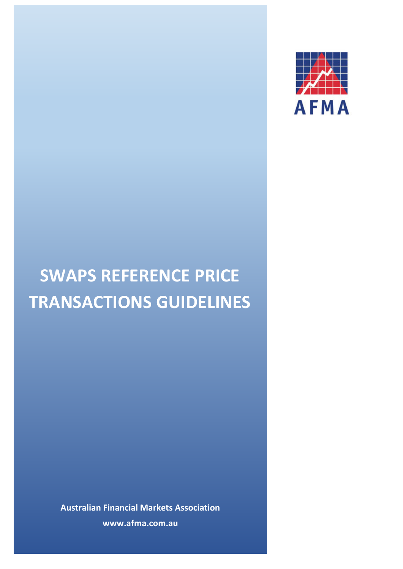

# **SWAPS REFERENCE PRICE TRANSACTIONS GUIDELINES**

**Australian Financial Markets Association www.afma.com.au**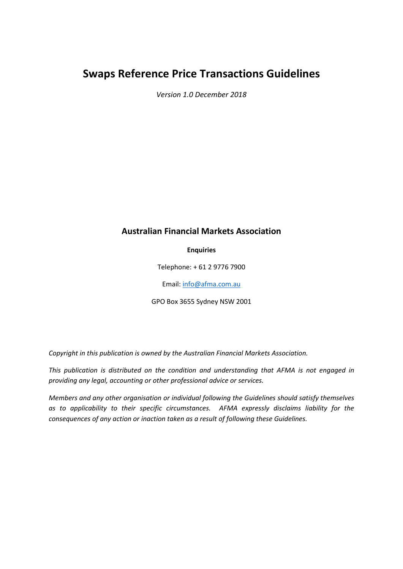## **Swaps Reference Price Transactions Guidelines**

*Version 1.0 December 2018*

## **Australian Financial Markets Association**

**Enquiries**

Telephone: + 61 2 9776 7900

Email[: info@afma.com.au](mailto:info@afma.com.au)

GPO Box 3655 Sydney NSW 2001

*Copyright in this publication is owned by the Australian Financial Markets Association.*

*This publication is distributed on the condition and understanding that AFMA is not engaged in providing any legal, accounting or other professional advice or services.*

*Members and any other organisation or individual following the Guidelines should satisfy themselves as to applicability to their specific circumstances. AFMA expressly disclaims liability for the consequences of any action or inaction taken as a result of following these Guidelines.*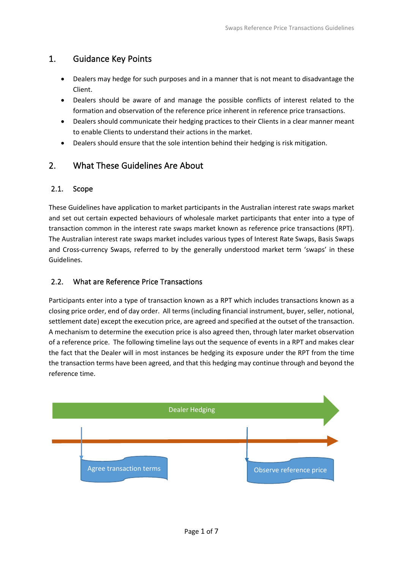## 1. Guidance Key Points

- Dealers may hedge for such purposes and in a manner that is not meant to disadvantage the Client.
- Dealers should be aware of and manage the possible conflicts of interest related to the formation and observation of the reference price inherent in reference price transactions.
- Dealers should communicate their hedging practices to their Clients in a clear manner meant to enable Clients to understand their actions in the market.
- Dealers should ensure that the sole intention behind their hedging is risk mitigation.

## 2. What These Guidelines Are About

## 2.1. Scope

These Guidelines have application to market participants in the Australian interest rate swaps market and set out certain expected behaviours of wholesale market participants that enter into a type of transaction common in the interest rate swaps market known as reference price transactions (RPT). The Australian interest rate swaps market includes various types of Interest Rate Swaps, Basis Swaps and Cross-currency Swaps, referred to by the generally understood market term 'swaps' in these Guidelines.

## 2.2. What are Reference Price Transactions

Participants enter into a type of transaction known as a RPT which includes transactions known as a closing price order, end of day order. All terms (including financial instrument, buyer, seller, notional, settlement date) except the execution price, are agreed and specified at the outset of the transaction. A mechanism to determine the execution price is also agreed then, through later market observation of a reference price. The following timeline lays out the sequence of events in a RPT and makes clear the fact that the Dealer will in most instances be hedging its exposure under the RPT from the time the transaction terms have been agreed, and that this hedging may continue through and beyond the reference time.

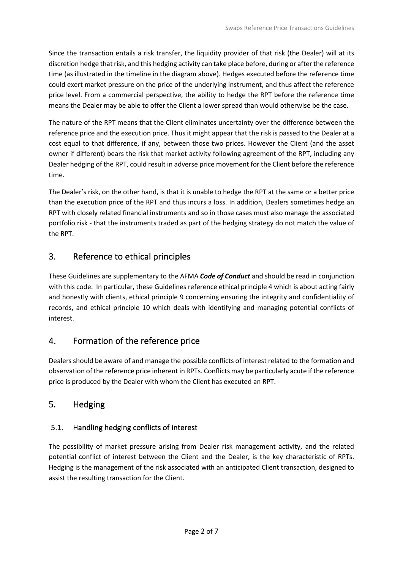Since the transaction entails a risk transfer, the liquidity provider of that risk (the Dealer) will at its discretion hedge that risk, and this hedging activity can take place before, during or after the reference time (as illustrated in the timeline in the diagram above). Hedges executed before the reference time could exert market pressure on the price of the underlying instrument, and thus affect the reference price level. From a commercial perspective, the ability to hedge the RPT before the reference time means the Dealer may be able to offer the Client a lower spread than would otherwise be the case.

The nature of the RPT means that the Client eliminates uncertainty over the difference between the reference price and the execution price. Thus it might appear that the risk is passed to the Dealer at a cost equal to that difference, if any, between those two prices. However the Client (and the asset owner if different) bears the risk that market activity following agreement of the RPT, including any Dealer hedging of the RPT, could result in adverse price movement for the Client before the reference time.

The Dealer's risk, on the other hand, is that it is unable to hedge the RPT at the same or a better price than the execution price of the RPT and thus incurs a loss. In addition, Dealers sometimes hedge an RPT with closely related financial instruments and so in those cases must also manage the associated portfolio risk - that the instruments traded as part of the hedging strategy do not match the value of the RPT.

## 3. Reference to ethical principles

These Guidelines are supplementary to the AFMA *Code of Conduct* and should be read in conjunction with this code. In particular, these Guidelines reference ethical principle 4 which is about acting fairly and honestly with clients, ethical principle 9 concerning ensuring the integrity and confidentiality of records, and ethical principle 10 which deals with identifying and managing potential conflicts of interest.

## 4. Formation of the reference price

Dealers should be aware of and manage the possible conflicts of interest related to the formation and observation of the reference price inherent in RPTs. Conflicts may be particularly acute if the reference price is produced by the Dealer with whom the Client has executed an RPT.

## 5. Hedging

## 5.1. Handling hedging conflicts of interest

The possibility of market pressure arising from Dealer risk management activity, and the related potential conflict of interest between the Client and the Dealer, is the key characteristic of RPTs. Hedging is the management of the risk associated with an anticipated Client transaction, designed to assist the resulting transaction for the Client.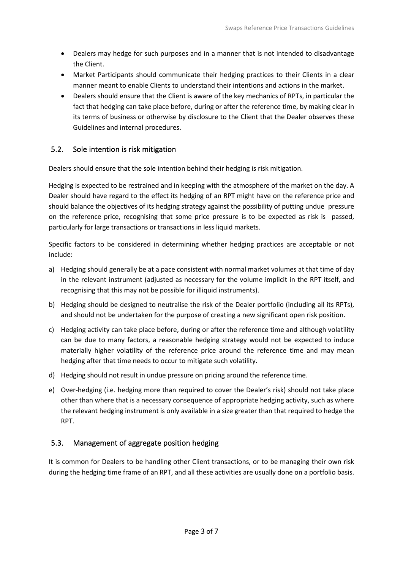- Dealers may hedge for such purposes and in a manner that is not intended to disadvantage the Client.
- Market Participants should communicate their hedging practices to their Clients in a clear manner meant to enable Clients to understand their intentions and actions in the market.
- Dealers should ensure that the Client is aware of the key mechanics of RPTs, in particular the fact that hedging can take place before, during or after the reference time, by making clear in its terms of business or otherwise by disclosure to the Client that the Dealer observes these Guidelines and internal procedures.

#### 5.2. Sole intention is risk mitigation

Dealers should ensure that the sole intention behind their hedging is risk mitigation.

Hedging is expected to be restrained and in keeping with the atmosphere of the market on the day. A Dealer should have regard to the effect its hedging of an RPT might have on the reference price and should balance the objectives of its hedging strategy against the possibility of putting undue pressure on the reference price, recognising that some price pressure is to be expected as risk is passed, particularly for large transactions or transactions in less liquid markets.

Specific factors to be considered in determining whether hedging practices are acceptable or not include:

- a) Hedging should generally be at a pace consistent with normal market volumes at that time of day in the relevant instrument (adjusted as necessary for the volume implicit in the RPT itself, and recognising that this may not be possible for illiquid instruments).
- b) Hedging should be designed to neutralise the risk of the Dealer portfolio (including all its RPTs), and should not be undertaken for the purpose of creating a new significant open risk position.
- c) Hedging activity can take place before, during or after the reference time and although volatility can be due to many factors, a reasonable hedging strategy would not be expected to induce materially higher volatility of the reference price around the reference time and may mean hedging after that time needs to occur to mitigate such volatility.
- d) Hedging should not result in undue pressure on pricing around the reference time.
- e) Over-hedging (i.e. hedging more than required to cover the Dealer's risk) should not take place other than where that is a necessary consequence of appropriate hedging activity, such as where the relevant hedging instrument is only available in a size greater than that required to hedge the RPT.

#### 5.3. Management of aggregate position hedging

It is common for Dealers to be handling other Client transactions, or to be managing their own risk during the hedging time frame of an RPT, and all these activities are usually done on a portfolio basis.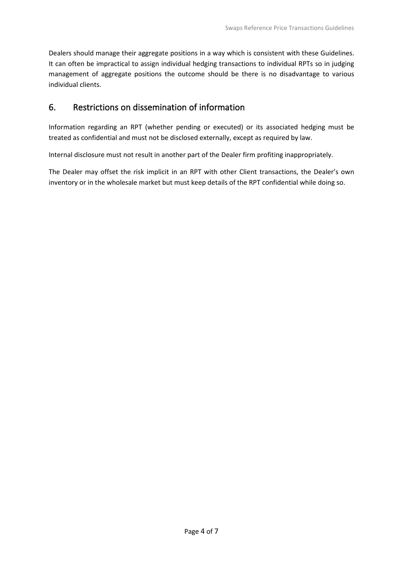Dealers should manage their aggregate positions in a way which is consistent with these Guidelines. It can often be impractical to assign individual hedging transactions to individual RPTs so in judging management of aggregate positions the outcome should be there is no disadvantage to various individual clients.

## 6. Restrictions on dissemination of information

Information regarding an RPT (whether pending or executed) or its associated hedging must be treated as confidential and must not be disclosed externally, except as required by law.

Internal disclosure must not result in another part of the Dealer firm profiting inappropriately.

The Dealer may offset the risk implicit in an RPT with other Client transactions, the Dealer's own inventory or in the wholesale market but must keep details of the RPT confidential while doing so.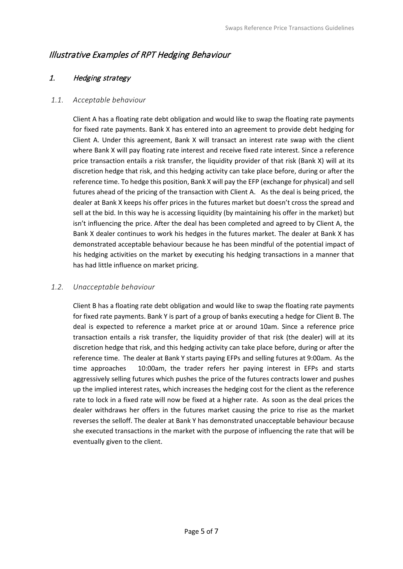## Illustrative Examples of RPT Hedging Behaviour

## 1. Hedging strategy

#### *1.1. Acceptable behaviour*

Client A has a floating rate debt obligation and would like to swap the floating rate payments for fixed rate payments. Bank X has entered into an agreement to provide debt hedging for Client A. Under this agreement, Bank X will transact an interest rate swap with the client where Bank X will pay floating rate interest and receive fixed rate interest. Since a reference price transaction entails a risk transfer, the liquidity provider of that risk (Bank X) will at its discretion hedge that risk, and this hedging activity can take place before, during or after the reference time. To hedge this position, Bank X will pay the EFP (exchange for physical) and sell futures ahead of the pricing of the transaction with Client A. As the deal is being priced, the dealer at Bank X keeps his offer prices in the futures market but doesn't cross the spread and sell at the bid. In this way he is accessing liquidity (by maintaining his offer in the market) but isn't influencing the price. After the deal has been completed and agreed to by Client A, the Bank X dealer continues to work his hedges in the futures market. The dealer at Bank X has demonstrated acceptable behaviour because he has been mindful of the potential impact of his hedging activities on the market by executing his hedging transactions in a manner that has had little influence on market pricing.

## *1.2. Unacceptable behaviour*

Client B has a floating rate debt obligation and would like to swap the floating rate payments for fixed rate payments. Bank Y is part of a group of banks executing a hedge for Client B. The deal is expected to reference a market price at or around 10am. Since a reference price transaction entails a risk transfer, the liquidity provider of that risk (the dealer) will at its discretion hedge that risk, and this hedging activity can take place before, during or after the reference time. The dealer at Bank Y starts paying EFPs and selling futures at 9:00am. As the time approaches 10:00am, the trader refers her paying interest in EFPs and starts aggressively selling futures which pushes the price of the futures contracts lower and pushes up the implied interest rates, which increases the hedging cost for the client as the reference rate to lock in a fixed rate will now be fixed at a higher rate. As soon as the deal prices the dealer withdraws her offers in the futures market causing the price to rise as the market reverses the selloff. The dealer at Bank Y has demonstrated unacceptable behaviour because she executed transactions in the market with the purpose of influencing the rate that will be eventually given to the client.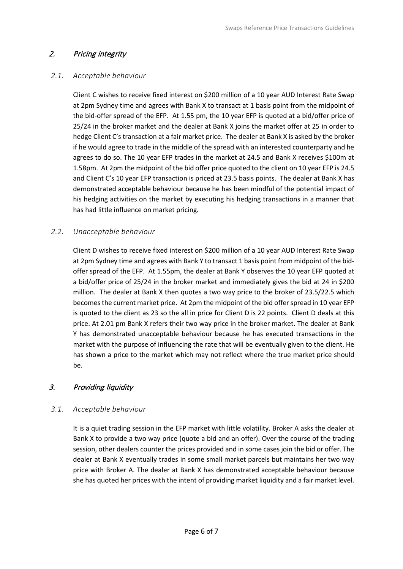## 2. Pricing integrity

#### *2.1. Acceptable behaviour*

Client C wishes to receive fixed interest on \$200 million of a 10 year AUD Interest Rate Swap at 2pm Sydney time and agrees with Bank X to transact at 1 basis point from the midpoint of the bid-offer spread of the EFP. At 1.55 pm, the 10 year EFP is quoted at a bid/offer price of 25/24 in the broker market and the dealer at Bank X joins the market offer at 25 in order to hedge Client C's transaction at a fair market price. The dealer at Bank X is asked by the broker if he would agree to trade in the middle of the spread with an interested counterparty and he agrees to do so. The 10 year EFP trades in the market at 24.5 and Bank X receives \$100m at 1.58pm. At 2pm the midpoint of the bid offer price quoted to the client on 10 year EFP is 24.5 and Client C's 10 year EFP transaction is priced at 23.5 basis points. The dealer at Bank X has demonstrated acceptable behaviour because he has been mindful of the potential impact of his hedging activities on the market by executing his hedging transactions in a manner that has had little influence on market pricing.

#### *2.2. Unacceptable behaviour*

Client D wishes to receive fixed interest on \$200 million of a 10 year AUD Interest Rate Swap at 2pm Sydney time and agrees with Bank Y to transact 1 basis point from midpoint of the bidoffer spread of the EFP. At 1.55pm, the dealer at Bank Y observes the 10 year EFP quoted at a bid/offer price of 25/24 in the broker market and immediately gives the bid at 24 in \$200 million. The dealer at Bank X then quotes a two way price to the broker of 23.5/22.5 which becomes the current market price. At 2pm the midpoint of the bid offer spread in 10 year EFP is quoted to the client as 23 so the all in price for Client D is 22 points. Client D deals at this price. At 2.01 pm Bank X refers their two way price in the broker market. The dealer at Bank Y has demonstrated unacceptable behaviour because he has executed transactions in the market with the purpose of influencing the rate that will be eventually given to the client. He has shown a price to the market which may not reflect where the true market price should be.

## 3. Providing liquidity

## *3.1. Acceptable behaviour*

It is a quiet trading session in the EFP market with little volatility. Broker A asks the dealer at Bank X to provide a two way price (quote a bid and an offer). Over the course of the trading session, other dealers counter the prices provided and in some cases join the bid or offer. The dealer at Bank X eventually trades in some small market parcels but maintains her two way price with Broker A. The dealer at Bank X has demonstrated acceptable behaviour because she has quoted her prices with the intent of providing market liquidity and a fair market level.